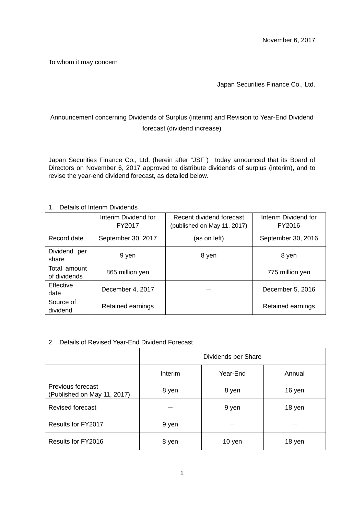To whom it may concern

## Japan Securities Finance Co., Ltd.

# Announcement concerning Dividends of Surplus (interim) and Revision to Year-End Dividend forecast (dividend increase)

Japan Securities Finance Co., Ltd. (herein after "JSF") today announced that its Board of Directors on November 6, 2017 approved to distribute dividends of surplus (interim), and to revise the year-end dividend forecast, as detailed below.

## 1. Details of Interim Dividends

|                              | Interim Dividend for<br>FY2017 | Recent dividend forecast<br>(published on May 11, 2017) | Interim Dividend for<br>FY2016 |
|------------------------------|--------------------------------|---------------------------------------------------------|--------------------------------|
| Record date                  | September 30, 2017             | (as on left)                                            | September 30, 2016             |
| Dividend<br>per<br>share     | 9 yen                          | 8 yen                                                   | 8 yen                          |
| Total amount<br>of dividends | 865 million yen                |                                                         | 775 million yen                |
| Effective<br>date            | December 4, 2017               |                                                         | December 5, 2016               |
| Source of<br>dividend        | Retained earnings              |                                                         | Retained earnings              |

### 2. Details of Revised Year-End Dividend Forecast

|                                                  | Dividends per Share |          |        |
|--------------------------------------------------|---------------------|----------|--------|
|                                                  | Interim             | Year-End | Annual |
| Previous forecast<br>(Published on May 11, 2017) | 8 yen               | 8 yen    | 16 yen |
| <b>Revised forecast</b>                          |                     | 9 yen    | 18 yen |
| Results for FY2017                               | 9 yen               |          |        |
| Results for FY2016                               | 8 yen               | 10 yen   | 18 yen |